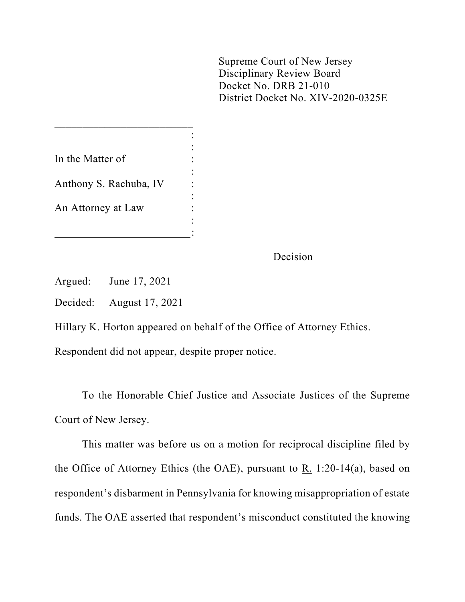Supreme Court of New Jersey Disciplinary Review Board Docket No. DRB 21-010 District Docket No. XIV-2020-0325E

| In the Matter of       |  |
|------------------------|--|
|                        |  |
| Anthony S. Rachuba, IV |  |
|                        |  |
| An Attorney at Law     |  |
|                        |  |
|                        |  |

 $\frac{1}{2}$  ,  $\frac{1}{2}$  ,  $\frac{1}{2}$  ,  $\frac{1}{2}$  ,  $\frac{1}{2}$  ,  $\frac{1}{2}$  ,  $\frac{1}{2}$  ,  $\frac{1}{2}$  ,  $\frac{1}{2}$  ,  $\frac{1}{2}$  ,  $\frac{1}{2}$  ,  $\frac{1}{2}$  ,  $\frac{1}{2}$  ,  $\frac{1}{2}$  ,  $\frac{1}{2}$  ,  $\frac{1}{2}$  ,  $\frac{1}{2}$  ,  $\frac{1}{2}$  ,  $\frac{1$ 

Decision

Argued: June 17, 2021

Decided: August 17, 2021

Hillary K. Horton appeared on behalf of the Office of Attorney Ethics.

Respondent did not appear, despite proper notice.

To the Honorable Chief Justice and Associate Justices of the Supreme Court of New Jersey.

This matter was before us on a motion for reciprocal discipline filed by the Office of Attorney Ethics (the OAE), pursuant to R. 1:20-14(a), based on respondent's disbarment in Pennsylvania for knowing misappropriation of estate funds. The OAE asserted that respondent's misconduct constituted the knowing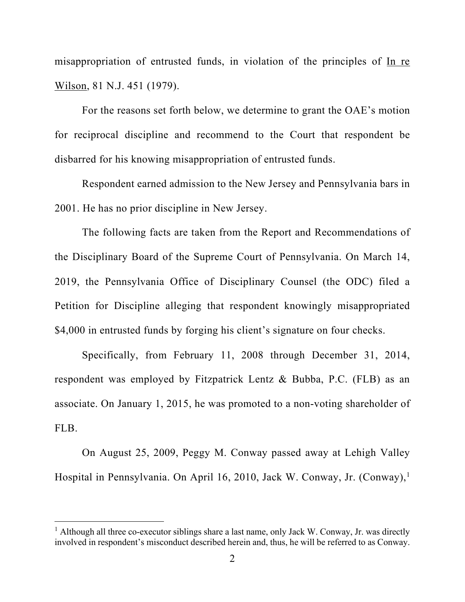misappropriation of entrusted funds, in violation of the principles of In re Wilson, 81 N.J. 451 (1979).

For the reasons set forth below, we determine to grant the OAE's motion for reciprocal discipline and recommend to the Court that respondent be disbarred for his knowing misappropriation of entrusted funds.

Respondent earned admission to the New Jersey and Pennsylvania bars in 2001. He has no prior discipline in New Jersey.

The following facts are taken from the Report and Recommendations of the Disciplinary Board of the Supreme Court of Pennsylvania. On March 14, 2019, the Pennsylvania Office of Disciplinary Counsel (the ODC) filed a Petition for Discipline alleging that respondent knowingly misappropriated \$4,000 in entrusted funds by forging his client's signature on four checks.

Specifically, from February 11, 2008 through December 31, 2014, respondent was employed by Fitzpatrick Lentz & Bubba, P.C. (FLB) as an associate. On January 1, 2015, he was promoted to a non-voting shareholder of FLB.

On August 25, 2009, Peggy M. Conway passed away at Lehigh Valley Hospital in Pennsylvania. On April 16, 2010, Jack W. Conway, Jr. (Conway),[1](#page-1-0)

<span id="page-1-0"></span> $<sup>1</sup>$  Although all three co-executor siblings share a last name, only Jack W. Conway, Jr. was directly</sup> involved in respondent's misconduct described herein and, thus, he will be referred to as Conway.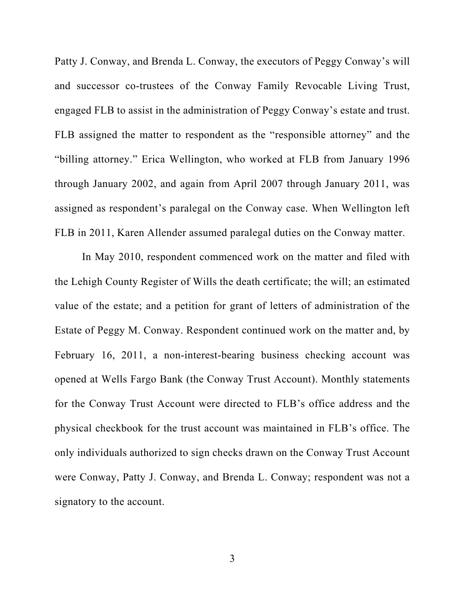Patty J. Conway, and Brenda L. Conway, the executors of Peggy Conway's will and successor co-trustees of the Conway Family Revocable Living Trust, engaged FLB to assist in the administration of Peggy Conway's estate and trust. FLB assigned the matter to respondent as the "responsible attorney" and the "billing attorney." Erica Wellington, who worked at FLB from January 1996 through January 2002, and again from April 2007 through January 2011, was assigned as respondent's paralegal on the Conway case. When Wellington left FLB in 2011, Karen Allender assumed paralegal duties on the Conway matter.

In May 2010, respondent commenced work on the matter and filed with the Lehigh County Register of Wills the death certificate; the will; an estimated value of the estate; and a petition for grant of letters of administration of the Estate of Peggy M. Conway. Respondent continued work on the matter and, by February 16, 2011, a non-interest-bearing business checking account was opened at Wells Fargo Bank (the Conway Trust Account). Monthly statements for the Conway Trust Account were directed to FLB's office address and the physical checkbook for the trust account was maintained in FLB's office. The only individuals authorized to sign checks drawn on the Conway Trust Account were Conway, Patty J. Conway, and Brenda L. Conway; respondent was not a signatory to the account.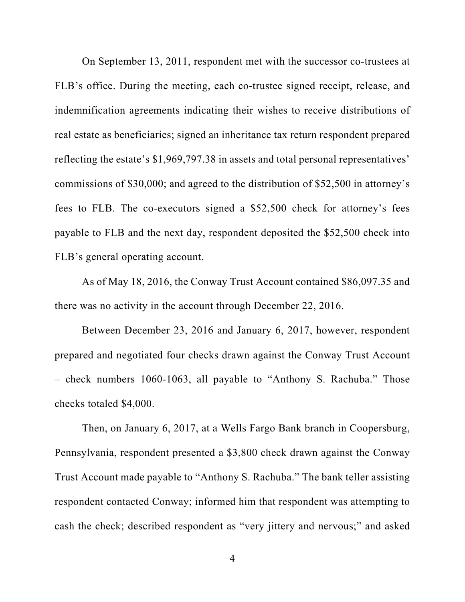On September 13, 2011, respondent met with the successor co-trustees at FLB's office. During the meeting, each co-trustee signed receipt, release, and indemnification agreements indicating their wishes to receive distributions of real estate as beneficiaries; signed an inheritance tax return respondent prepared reflecting the estate's \$1,969,797.38 in assets and total personal representatives' commissions of \$30,000; and agreed to the distribution of \$52,500 in attorney's fees to FLB. The co-executors signed a \$52,500 check for attorney's fees payable to FLB and the next day, respondent deposited the \$52,500 check into FLB's general operating account.

As of May 18, 2016, the Conway Trust Account contained \$86,097.35 and there was no activity in the account through December 22, 2016.

Between December 23, 2016 and January 6, 2017, however, respondent prepared and negotiated four checks drawn against the Conway Trust Account – check numbers 1060-1063, all payable to "Anthony S. Rachuba." Those checks totaled \$4,000.

Then, on January 6, 2017, at a Wells Fargo Bank branch in Coopersburg, Pennsylvania, respondent presented a \$3,800 check drawn against the Conway Trust Account made payable to "Anthony S. Rachuba." The bank teller assisting respondent contacted Conway; informed him that respondent was attempting to cash the check; described respondent as "very jittery and nervous;" and asked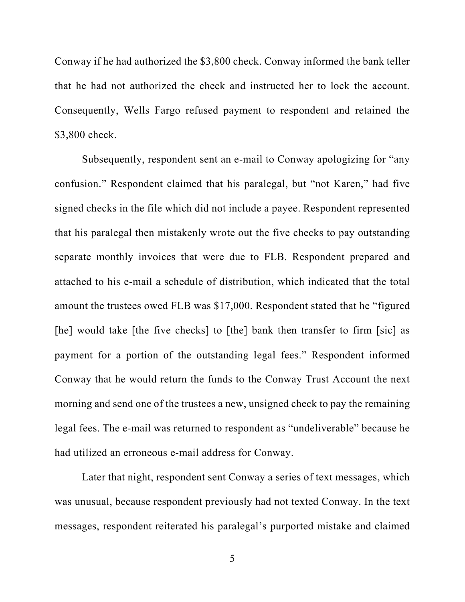Conway if he had authorized the \$3,800 check. Conway informed the bank teller that he had not authorized the check and instructed her to lock the account. Consequently, Wells Fargo refused payment to respondent and retained the \$3,800 check.

Subsequently, respondent sent an e-mail to Conway apologizing for "any confusion." Respondent claimed that his paralegal, but "not Karen," had five signed checks in the file which did not include a payee. Respondent represented that his paralegal then mistakenly wrote out the five checks to pay outstanding separate monthly invoices that were due to FLB. Respondent prepared and attached to his e-mail a schedule of distribution, which indicated that the total amount the trustees owed FLB was \$17,000. Respondent stated that he "figured [he] would take [the five checks] to [the] bank then transfer to firm [sic] as payment for a portion of the outstanding legal fees." Respondent informed Conway that he would return the funds to the Conway Trust Account the next morning and send one of the trustees a new, unsigned check to pay the remaining legal fees. The e-mail was returned to respondent as "undeliverable" because he had utilized an erroneous e-mail address for Conway.

Later that night, respondent sent Conway a series of text messages, which was unusual, because respondent previously had not texted Conway. In the text messages, respondent reiterated his paralegal's purported mistake and claimed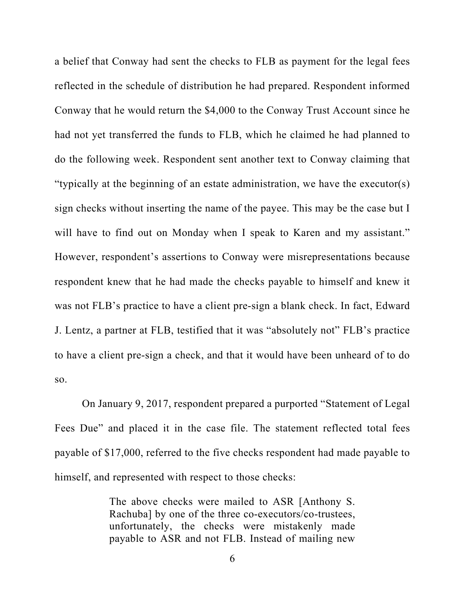a belief that Conway had sent the checks to FLB as payment for the legal fees reflected in the schedule of distribution he had prepared. Respondent informed Conway that he would return the \$4,000 to the Conway Trust Account since he had not yet transferred the funds to FLB, which he claimed he had planned to do the following week. Respondent sent another text to Conway claiming that "typically at the beginning of an estate administration, we have the executor(s) sign checks without inserting the name of the payee. This may be the case but I will have to find out on Monday when I speak to Karen and my assistant." However, respondent's assertions to Conway were misrepresentations because respondent knew that he had made the checks payable to himself and knew it was not FLB's practice to have a client pre-sign a blank check. In fact, Edward J. Lentz, a partner at FLB, testified that it was "absolutely not" FLB's practice to have a client pre-sign a check, and that it would have been unheard of to do so.

On January 9, 2017, respondent prepared a purported "Statement of Legal Fees Due" and placed it in the case file. The statement reflected total fees payable of \$17,000, referred to the five checks respondent had made payable to himself, and represented with respect to those checks:

> The above checks were mailed to ASR [Anthony S. Rachuba] by one of the three co-executors/co-trustees, unfortunately, the checks were mistakenly made payable to ASR and not FLB. Instead of mailing new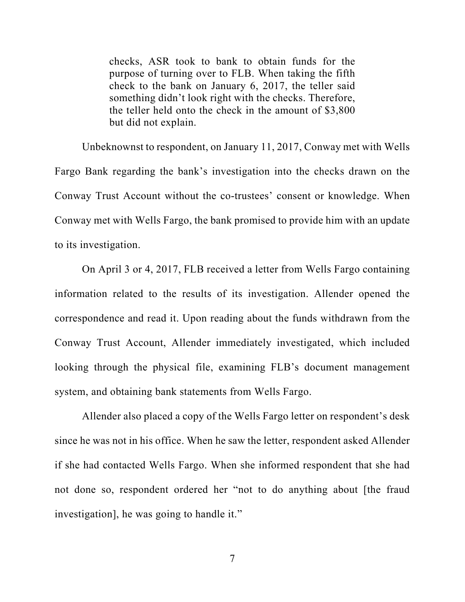checks, ASR took to bank to obtain funds for the purpose of turning over to FLB. When taking the fifth check to the bank on January 6, 2017, the teller said something didn't look right with the checks. Therefore, the teller held onto the check in the amount of \$3,800 but did not explain.

Unbeknownst to respondent, on January 11, 2017, Conway met with Wells Fargo Bank regarding the bank's investigation into the checks drawn on the Conway Trust Account without the co-trustees' consent or knowledge. When Conway met with Wells Fargo, the bank promised to provide him with an update to its investigation.

On April 3 or 4, 2017, FLB received a letter from Wells Fargo containing information related to the results of its investigation. Allender opened the correspondence and read it. Upon reading about the funds withdrawn from the Conway Trust Account, Allender immediately investigated, which included looking through the physical file, examining FLB's document management system, and obtaining bank statements from Wells Fargo.

Allender also placed a copy of the Wells Fargo letter on respondent's desk since he was not in his office. When he saw the letter, respondent asked Allender if she had contacted Wells Fargo. When she informed respondent that she had not done so, respondent ordered her "not to do anything about [the fraud investigation], he was going to handle it."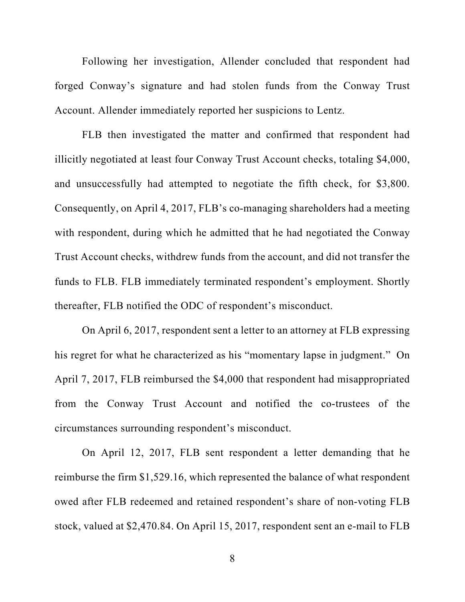Following her investigation, Allender concluded that respondent had forged Conway's signature and had stolen funds from the Conway Trust Account. Allender immediately reported her suspicions to Lentz.

FLB then investigated the matter and confirmed that respondent had illicitly negotiated at least four Conway Trust Account checks, totaling \$4,000, and unsuccessfully had attempted to negotiate the fifth check, for \$3,800. Consequently, on April 4, 2017, FLB's co-managing shareholders had a meeting with respondent, during which he admitted that he had negotiated the Conway Trust Account checks, withdrew funds from the account, and did not transfer the funds to FLB. FLB immediately terminated respondent's employment. Shortly thereafter, FLB notified the ODC of respondent's misconduct.

On April 6, 2017, respondent sent a letter to an attorney at FLB expressing his regret for what he characterized as his "momentary lapse in judgment." On April 7, 2017, FLB reimbursed the \$4,000 that respondent had misappropriated from the Conway Trust Account and notified the co-trustees of the circumstances surrounding respondent's misconduct.

On April 12, 2017, FLB sent respondent a letter demanding that he reimburse the firm \$1,529.16, which represented the balance of what respondent owed after FLB redeemed and retained respondent's share of non-voting FLB stock, valued at \$2,470.84. On April 15, 2017, respondent sent an e-mail to FLB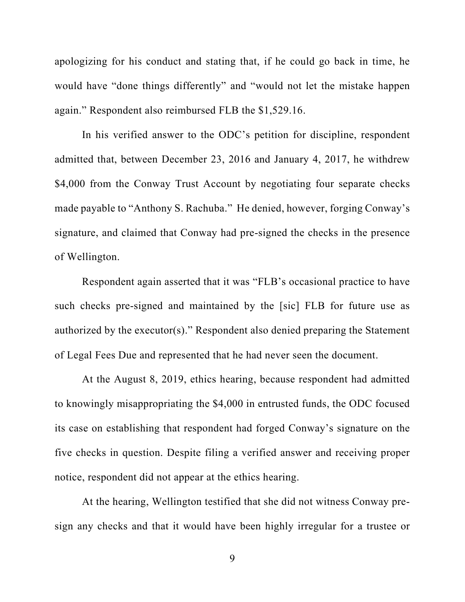apologizing for his conduct and stating that, if he could go back in time, he would have "done things differently" and "would not let the mistake happen again." Respondent also reimbursed FLB the \$1,529.16.

In his verified answer to the ODC's petition for discipline, respondent admitted that, between December 23, 2016 and January 4, 2017, he withdrew \$4,000 from the Conway Trust Account by negotiating four separate checks made payable to "Anthony S. Rachuba." He denied, however, forging Conway's signature, and claimed that Conway had pre-signed the checks in the presence of Wellington.

Respondent again asserted that it was "FLB's occasional practice to have such checks pre-signed and maintained by the [sic] FLB for future use as authorized by the executor(s)." Respondent also denied preparing the Statement of Legal Fees Due and represented that he had never seen the document.

At the August 8, 2019, ethics hearing, because respondent had admitted to knowingly misappropriating the \$4,000 in entrusted funds, the ODC focused its case on establishing that respondent had forged Conway's signature on the five checks in question. Despite filing a verified answer and receiving proper notice, respondent did not appear at the ethics hearing.

At the hearing, Wellington testified that she did not witness Conway presign any checks and that it would have been highly irregular for a trustee or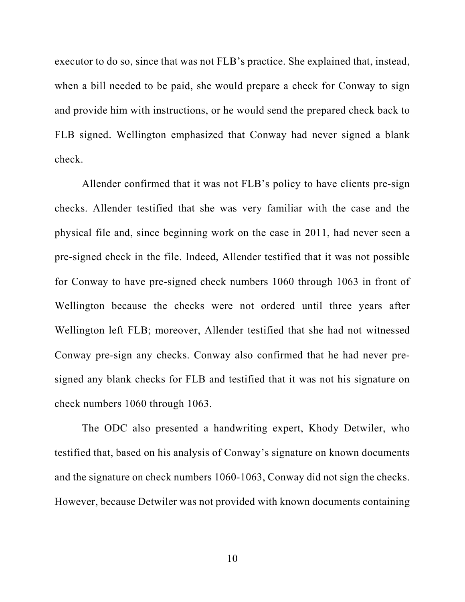executor to do so, since that was not FLB's practice. She explained that, instead, when a bill needed to be paid, she would prepare a check for Conway to sign and provide him with instructions, or he would send the prepared check back to FLB signed. Wellington emphasized that Conway had never signed a blank check.

Allender confirmed that it was not FLB's policy to have clients pre-sign checks. Allender testified that she was very familiar with the case and the physical file and, since beginning work on the case in 2011, had never seen a pre-signed check in the file. Indeed, Allender testified that it was not possible for Conway to have pre-signed check numbers 1060 through 1063 in front of Wellington because the checks were not ordered until three years after Wellington left FLB; moreover, Allender testified that she had not witnessed Conway pre-sign any checks. Conway also confirmed that he had never presigned any blank checks for FLB and testified that it was not his signature on check numbers 1060 through 1063.

The ODC also presented a handwriting expert, Khody Detwiler, who testified that, based on his analysis of Conway's signature on known documents and the signature on check numbers 1060-1063, Conway did not sign the checks. However, because Detwiler was not provided with known documents containing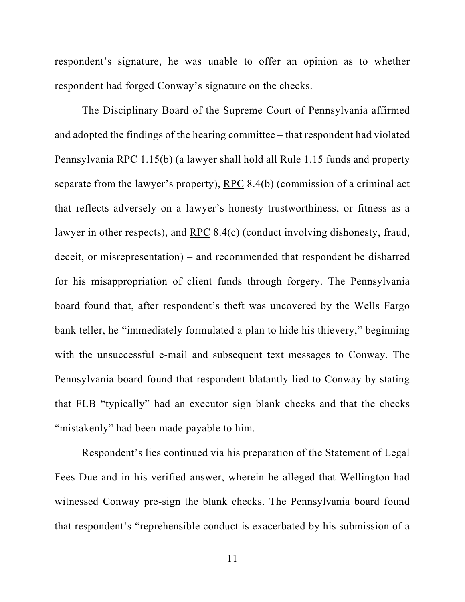respondent's signature, he was unable to offer an opinion as to whether respondent had forged Conway's signature on the checks.

The Disciplinary Board of the Supreme Court of Pennsylvania affirmed and adopted the findings of the hearing committee – that respondent had violated Pennsylvania RPC 1.15(b) (a lawyer shall hold all Rule 1.15 funds and property separate from the lawyer's property), RPC 8.4(b) (commission of a criminal act that reflects adversely on a lawyer's honesty trustworthiness, or fitness as a lawyer in other respects), and RPC 8.4(c) (conduct involving dishonesty, fraud, deceit, or misrepresentation) – and recommended that respondent be disbarred for his misappropriation of client funds through forgery. The Pennsylvania board found that, after respondent's theft was uncovered by the Wells Fargo bank teller, he "immediately formulated a plan to hide his thievery," beginning with the unsuccessful e-mail and subsequent text messages to Conway. The Pennsylvania board found that respondent blatantly lied to Conway by stating that FLB "typically" had an executor sign blank checks and that the checks "mistakenly" had been made payable to him.

Respondent's lies continued via his preparation of the Statement of Legal Fees Due and in his verified answer, wherein he alleged that Wellington had witnessed Conway pre-sign the blank checks. The Pennsylvania board found that respondent's "reprehensible conduct is exacerbated by his submission of a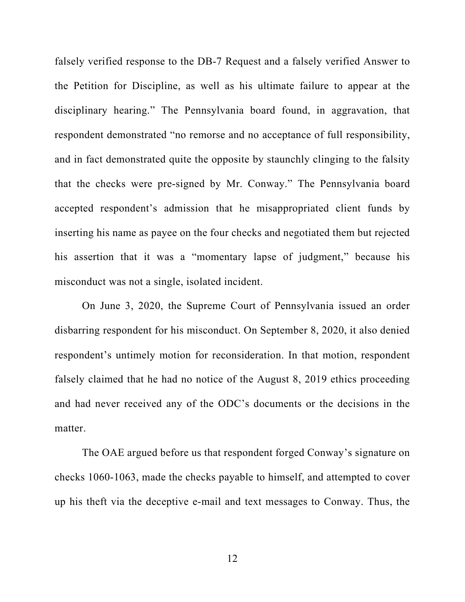falsely verified response to the DB-7 Request and a falsely verified Answer to the Petition for Discipline, as well as his ultimate failure to appear at the disciplinary hearing." The Pennsylvania board found, in aggravation, that respondent demonstrated "no remorse and no acceptance of full responsibility, and in fact demonstrated quite the opposite by staunchly clinging to the falsity that the checks were pre-signed by Mr. Conway." The Pennsylvania board accepted respondent's admission that he misappropriated client funds by inserting his name as payee on the four checks and negotiated them but rejected his assertion that it was a "momentary lapse of judgment," because his misconduct was not a single, isolated incident.

On June 3, 2020, the Supreme Court of Pennsylvania issued an order disbarring respondent for his misconduct. On September 8, 2020, it also denied respondent's untimely motion for reconsideration. In that motion, respondent falsely claimed that he had no notice of the August 8, 2019 ethics proceeding and had never received any of the ODC's documents or the decisions in the matter.

The OAE argued before us that respondent forged Conway's signature on checks 1060-1063, made the checks payable to himself, and attempted to cover up his theft via the deceptive e-mail and text messages to Conway. Thus, the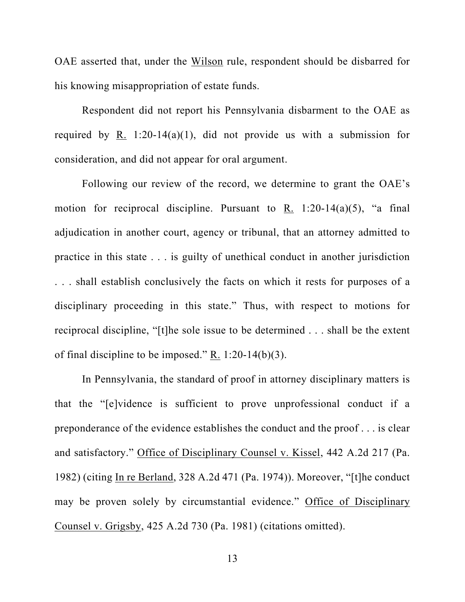OAE asserted that, under the Wilson rule, respondent should be disbarred for his knowing misappropriation of estate funds.

Respondent did not report his Pennsylvania disbarment to the OAE as required by R. 1:20-14(a)(1), did not provide us with a submission for consideration, and did not appear for oral argument.

Following our review of the record, we determine to grant the OAE's motion for reciprocal discipline. Pursuant to R. 1:20-14(a)(5), "a final adjudication in another court, agency or tribunal, that an attorney admitted to practice in this state . . . is guilty of unethical conduct in another jurisdiction . . . shall establish conclusively the facts on which it rests for purposes of a disciplinary proceeding in this state." Thus, with respect to motions for reciprocal discipline, "[t]he sole issue to be determined . . . shall be the extent of final discipline to be imposed." R. 1:20-14(b)(3).

In Pennsylvania, the standard of proof in attorney disciplinary matters is that the "[e]vidence is sufficient to prove unprofessional conduct if a preponderance of the evidence establishes the conduct and the proof . . . is clear and satisfactory." Office of Disciplinary Counsel v. Kissel, 442 A.2d 217 (Pa. 1982) (citing In re Berland, 328 A.2d 471 (Pa. 1974)). Moreover, "[t]he conduct may be proven solely by circumstantial evidence." Office of Disciplinary Counsel v. Grigsby, 425 A.2d 730 (Pa. 1981) (citations omitted).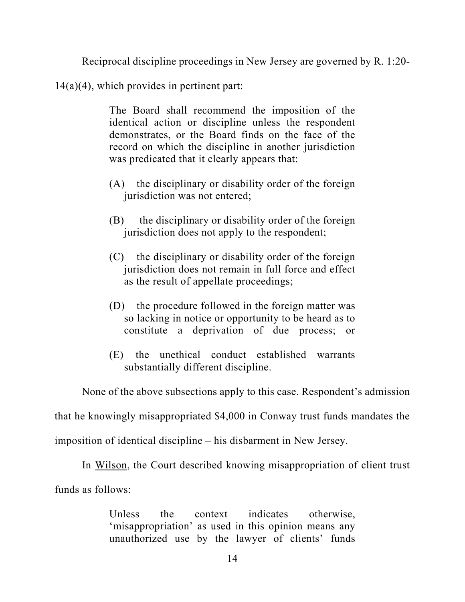Reciprocal discipline proceedings in New Jersey are governed by R. 1:20-

 $14(a)(4)$ , which provides in pertinent part:

The Board shall recommend the imposition of the identical action or discipline unless the respondent demonstrates, or the Board finds on the face of the record on which the discipline in another jurisdiction was predicated that it clearly appears that:

- (A) the disciplinary or disability order of the foreign jurisdiction was not entered;
- (B) the disciplinary or disability order of the foreign jurisdiction does not apply to the respondent;
- (C) the disciplinary or disability order of the foreign jurisdiction does not remain in full force and effect as the result of appellate proceedings;
- (D) the procedure followed in the foreign matter was so lacking in notice or opportunity to be heard as to constitute a deprivation of due process; or
- (E) the unethical conduct established warrants substantially different discipline.

None of the above subsections apply to this case. Respondent's admission

that he knowingly misappropriated \$4,000 in Conway trust funds mandates the

imposition of identical discipline – his disbarment in New Jersey.

In Wilson, the Court described knowing misappropriation of client trust

funds as follows:

Unless the context indicates otherwise, 'misappropriation' as used in this opinion means any unauthorized use by the lawyer of clients' funds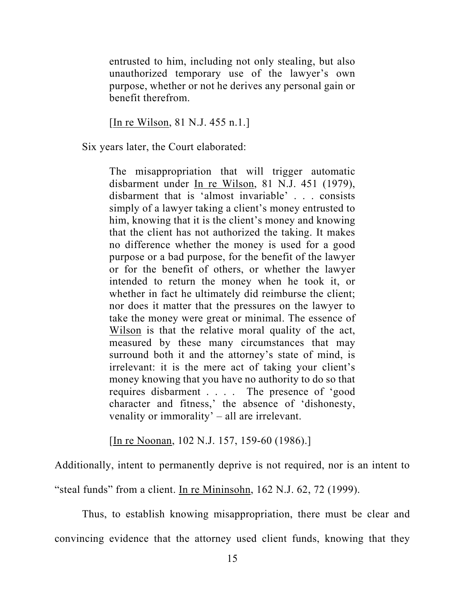entrusted to him, including not only stealing, but also unauthorized temporary use of the lawyer's own purpose, whether or not he derives any personal gain or benefit therefrom.

[In re Wilson, 81 N.J. 455 n.1.]

Six years later, the Court elaborated:

The misappropriation that will trigger automatic disbarment under In re Wilson, 81 N.J. 451 (1979), disbarment that is 'almost invariable' . . . consists simply of a lawyer taking a client's money entrusted to him, knowing that it is the client's money and knowing that the client has not authorized the taking. It makes no difference whether the money is used for a good purpose or a bad purpose, for the benefit of the lawyer or for the benefit of others, or whether the lawyer intended to return the money when he took it, or whether in fact he ultimately did reimburse the client; nor does it matter that the pressures on the lawyer to take the money were great or minimal. The essence of Wilson is that the relative moral quality of the act, measured by these many circumstances that may surround both it and the attorney's state of mind, is irrelevant: it is the mere act of taking your client's money knowing that you have no authority to do so that requires disbarment . . . . The presence of 'good character and fitness,' the absence of 'dishonesty, venality or immorality' – all are irrelevant.

[In re Noonan, 102 N.J. 157, 159-60 (1986).]

Additionally, intent to permanently deprive is not required, nor is an intent to "steal funds" from a client. In re Mininsohn, 162 N.J. 62, 72 (1999).

Thus, to establish knowing misappropriation, there must be clear and convincing evidence that the attorney used client funds, knowing that they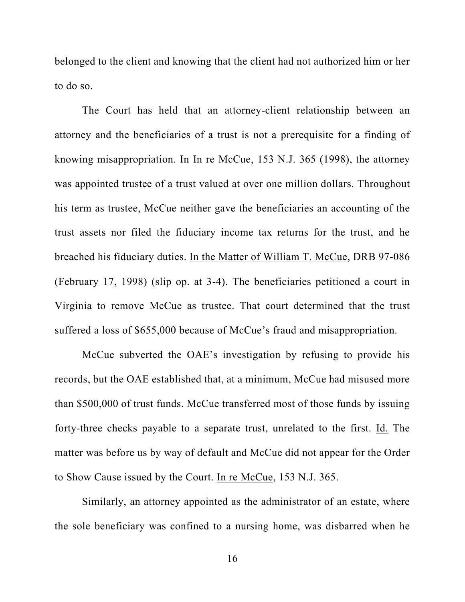belonged to the client and knowing that the client had not authorized him or her to do so.

The Court has held that an attorney-client relationship between an attorney and the beneficiaries of a trust is not a prerequisite for a finding of knowing misappropriation. In In re McCue, 153 N.J. 365 (1998), the attorney was appointed trustee of a trust valued at over one million dollars. Throughout his term as trustee, McCue neither gave the beneficiaries an accounting of the trust assets nor filed the fiduciary income tax returns for the trust, and he breached his fiduciary duties. In the Matter of William T. McCue, DRB 97-086 (February 17, 1998) (slip op. at 3-4). The beneficiaries petitioned a court in Virginia to remove McCue as trustee. That court determined that the trust suffered a loss of \$655,000 because of McCue's fraud and misappropriation.

McCue subverted the OAE's investigation by refusing to provide his records, but the OAE established that, at a minimum, McCue had misused more than \$500,000 of trust funds. McCue transferred most of those funds by issuing forty-three checks payable to a separate trust, unrelated to the first. Id. The matter was before us by way of default and McCue did not appear for the Order to Show Cause issued by the Court. In re McCue, 153 N.J. 365.

Similarly, an attorney appointed as the administrator of an estate, where the sole beneficiary was confined to a nursing home, was disbarred when he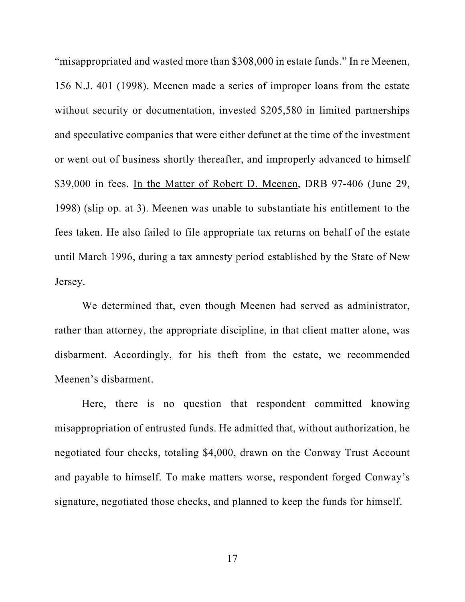"misappropriated and wasted more than \$308,000 in estate funds." In re Meenen, 156 N.J. 401 (1998). Meenen made a series of improper loans from the estate without security or documentation, invested \$205,580 in limited partnerships and speculative companies that were either defunct at the time of the investment or went out of business shortly thereafter, and improperly advanced to himself \$39,000 in fees. In the Matter of Robert D. Meenen, DRB 97-406 (June 29, 1998) (slip op. at 3). Meenen was unable to substantiate his entitlement to the fees taken. He also failed to file appropriate tax returns on behalf of the estate until March 1996, during a tax amnesty period established by the State of New Jersey.

We determined that, even though Meenen had served as administrator, rather than attorney, the appropriate discipline, in that client matter alone, was disbarment. Accordingly, for his theft from the estate, we recommended Meenen's disbarment.

Here, there is no question that respondent committed knowing misappropriation of entrusted funds. He admitted that, without authorization, he negotiated four checks, totaling \$4,000, drawn on the Conway Trust Account and payable to himself. To make matters worse, respondent forged Conway's signature, negotiated those checks, and planned to keep the funds for himself.

17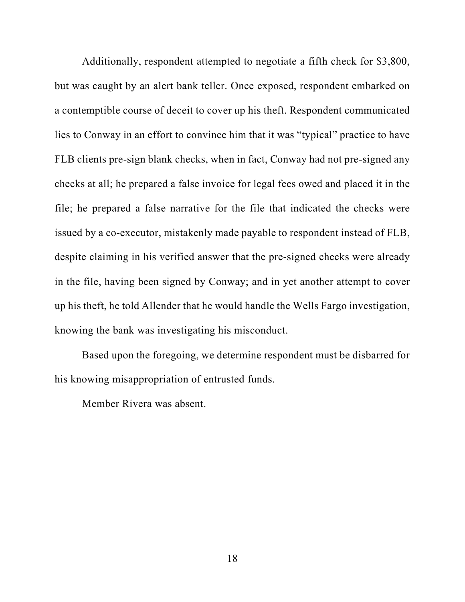Additionally, respondent attempted to negotiate a fifth check for \$3,800, but was caught by an alert bank teller. Once exposed, respondent embarked on a contemptible course of deceit to cover up his theft. Respondent communicated lies to Conway in an effort to convince him that it was "typical" practice to have FLB clients pre-sign blank checks, when in fact, Conway had not pre-signed any checks at all; he prepared a false invoice for legal fees owed and placed it in the file; he prepared a false narrative for the file that indicated the checks were issued by a co-executor, mistakenly made payable to respondent instead of FLB, despite claiming in his verified answer that the pre-signed checks were already in the file, having been signed by Conway; and in yet another attempt to cover up his theft, he told Allender that he would handle the Wells Fargo investigation, knowing the bank was investigating his misconduct.

Based upon the foregoing, we determine respondent must be disbarred for his knowing misappropriation of entrusted funds.

Member Rivera was absent.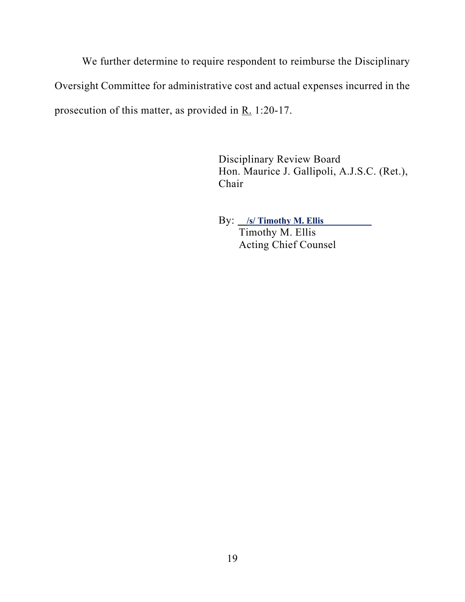We further determine to require respondent to reimburse the Disciplinary Oversight Committee for administrative cost and actual expenses incurred in the prosecution of this matter, as provided in R. 1:20-17.

> Disciplinary Review Board Hon. Maurice J. Gallipoli, A.J.S.C. (Ret.), Chair

 By: **/s/ Timothy M. Ellis**  Timothy M. Ellis Acting Chief Counsel